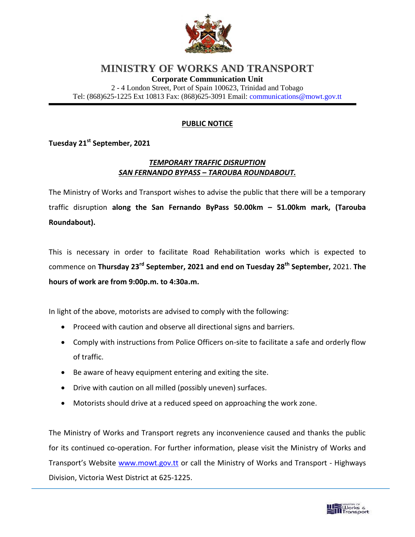

## **MINISTRY OF WORKS AND TRANSPORT**

**Corporate Communication Unit**

2 - 4 London Street, Port of Spain 100623, Trinidad and Tobago Tel: (868)625-1225 Ext 10813 Fax: (868)625-3091 Email: [communications@mowt.gov.tt](mailto:communications@mowt.gov.tt)

## **PUBLIC NOTICE**

**Tuesday 21st September, 2021**

## *TEMPORARY TRAFFIC DISRUPTION SAN FERNANDO BYPASS – TAROUBA ROUNDABOUT.*

The Ministry of Works and Transport wishes to advise the public that there will be a temporary traffic disruption **along the San Fernando ByPass 50.00km – 51.00km mark, (Tarouba Roundabout).**

This is necessary in order to facilitate Road Rehabilitation works which is expected to commence on **Thursday 23rd September, 2021 and end on Tuesday 28th September,** 2021. **The hours of work are from 9:00p.m. to 4:30a.m.**

In light of the above, motorists are advised to comply with the following:

- Proceed with caution and observe all directional signs and barriers.
- Comply with instructions from Police Officers on-site to facilitate a safe and orderly flow of traffic.
- Be aware of heavy equipment entering and exiting the site.
- Drive with caution on all milled (possibly uneven) surfaces.
- Motorists should drive at a reduced speed on approaching the work zone.

The Ministry of Works and Transport regrets any inconvenience caused and thanks the public for its continued co-operation. For further information, please visit the Ministry of Works and Transport's Website [www.mowt.gov.tt](http://www.mowt.gov.tt/) or call the Ministry of Works and Transport - Highways Division, Victoria West District at 625-1225.